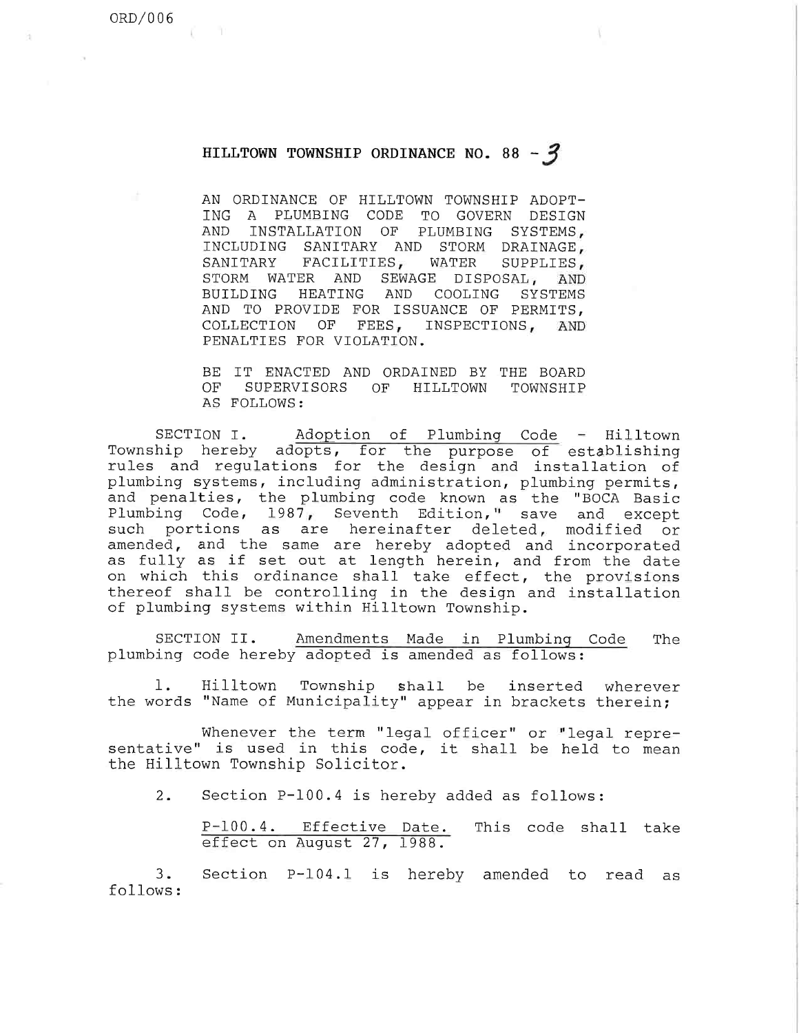## HILLTOWN TOWNSHIP ORDINANCE NO. 88 -  $3$

AN ORDINANCE OF HILLTOWN TOWNSHIP ADOPT-ING A PLUMBING CODE TO GOVERN DESIGN AND INSTALLATION OF PLUMBING SYSTEMS, INCLUDING SANITARY AND STORM DRAINAGE, SANITARY FACILITIES, WATER SUPPLIES, STORM WATER AND SEWAGE DISPOSAL, AND BUILDING HEATING AND COOLING SYSTEMS AND TO PROVIDE FOR ISSUANCE OF PERMITS, COLLECTION OF FEES, INSPECTIONS, AND PENALTIES FOR VIOLATION.

BE IT ENACTED AND ORDAINED BY THE BOARD OF SUPERVISORS OF HILLTOWN TOWNSHIP AS FOLLOWS :

SECTION I. Adoption of Plumbinq Code - Hilltown Township hereby adopts, for the purpose of establishing rules and regulations for the design and installation of plumbing systems, including administration, plumbing permits, and penalties, the plumbing code known as the "BOCA Basic Plumbing Code, 1987, Seventh Edition," save and except such portions as are hereinafter deleted, modified or amended, and the same are hereby adopted and incorp as fully as if set out at length herein, and from the dat on which this ordinance shall take effect, the provisions thereof shall be controlling in the design and installation of plumbing systems within Hilltown Township.

SECTION II. plumbing code hereby adopted is amended as foll Amendments Made in Plumbing Code The

1. the words "Name of Municipality" appear in brackets therein ; Hilltown Township shall be inserted wherever

Whenever the term "legal officer" or "legal representative" is used in this code, it shall be held to mean the Hilltown Township Solicitor.

 $2.$ Section P-100.4 is hereby added as follows:

P-100.4. Effective Date. This code shall take effect on August 27, 1988.

3. Section P-104.1 is hereby amended to read as follows :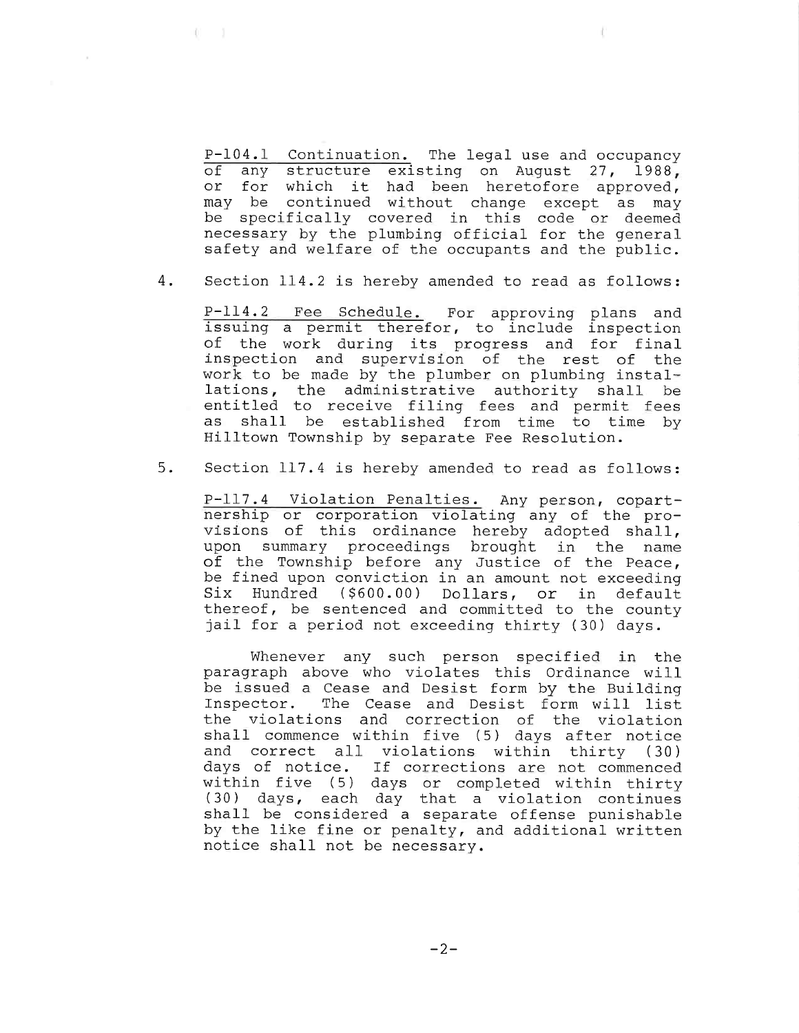P-104.1 Continuation. The legal use and occupancy of any structure existing on August 27, 1988, or for which it had been heretofore approved, may be continued without change except as may be specifically covered in this code or deemed necessary by the plumbing official for the general safety and welfare of the occupants and the public.

 $4.$ Section 114.2 is hereby amended to read as follows:

P-114.2 Fee Schedule. For approving plans and issuing a permit therefor, to include inspection of the work during its progress and for final inspection and supervision of the rest of the work to be made by the plumber on plumbing installations, the administrative authority shall be entitled to receive filing fees and permit fees as shall be established from time to time by Hilltown Township by separate Fee Resolution.

 $5.$ Section 117.4 is hereby amended to read as follows:

P-117.4 Violation Penalties. Any person, copartnership or corporation violating any of the provisions of this ordinance hereby adopted shall, upon summary proceedings brought in the name of the Township before any Justice of the Peace, be fined upon conviction in an amount not exceeding Six Hundred (\$600.00) Dollars, or in default thereof, be sentenced and committed to the county jail for a period not exceeding thirty (30) days.

Whenever any such person specified in the paragraph above who violates this Ordinance will be issued a Cease and Desist form by the Building Inspector. The Cease and Desist form will list the violations and correction of the violation shall commence within five (5) days after notice and correct all violations within thirty (30) days of notice. If corrections are not commenced within five (5) days or completed within thi (30) days, each day that a violation conti shall be considered a separate offense punishable by the like fine or penalty, and additional written notice shall not be necessary.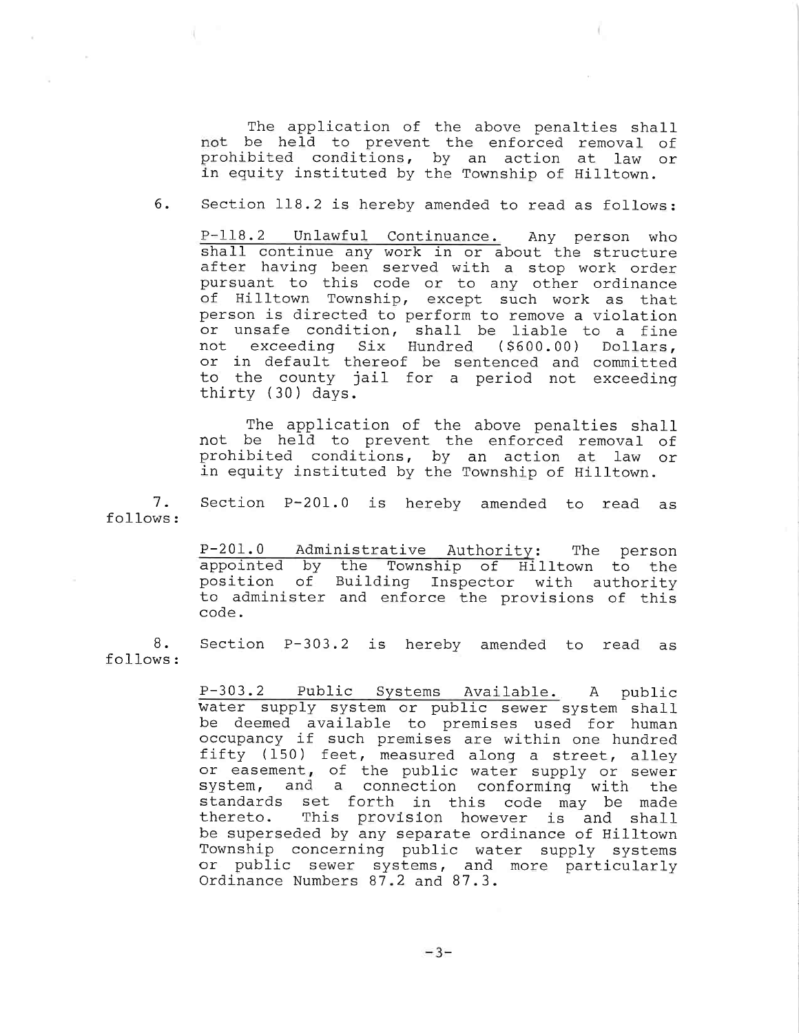The application of the above penalties shall not be held to prevent the enforced removal of prohibited conditions, by an action at law or in equity instituted by the Township of Hilltown.

б. Section 118.2 is hereby amended to read as follows:

P-118.2 Unlawful Continuance. Any person who shall continue any work in or about the structure after having been served with a stop work order pursuant to this code or to any other ordinance of Hilltown Township, except such work as that person is directed to perform to remove a violation or unsafe condition, shall be liable to a fine not exceeding Six Hundred (\$600.00) Dollars, or in default thereof be sentenced and committed to the county jail for a period not exceeding thirty (30) days.

The application of the above penalties shall not be held to prevent the enforced removal of prohibited conditions, by an action at law or in equity instituted by the Township of Hilltown.

7. Section P-201.0 is hereby amended to read as follows:

> P-201.0 Administrative Authority: The person appointed by the Township of Hilltown to the position of Building Inspector with authority to administer and enforce the provisions of this code.

8. Section P-303.2 is hereby amended to read as follows :

> P-303.2 Public Systems Available. A public water supply system or public sewer system shall be deemed available to premises used for human occupancy if such premises are within one hundred fifty (150) feet, measured along a street, alley or easement, of the public water supply or sew system, and a connection conforming with th standards set forth in this code may be made thereto. This provision however is and shall be superseded by any separate ordinance of Hilltown Township concerning public water supply systems or public sewer systems, and more particularly Ordinance Numbers 87.2 and 87.3.

> > $-3-$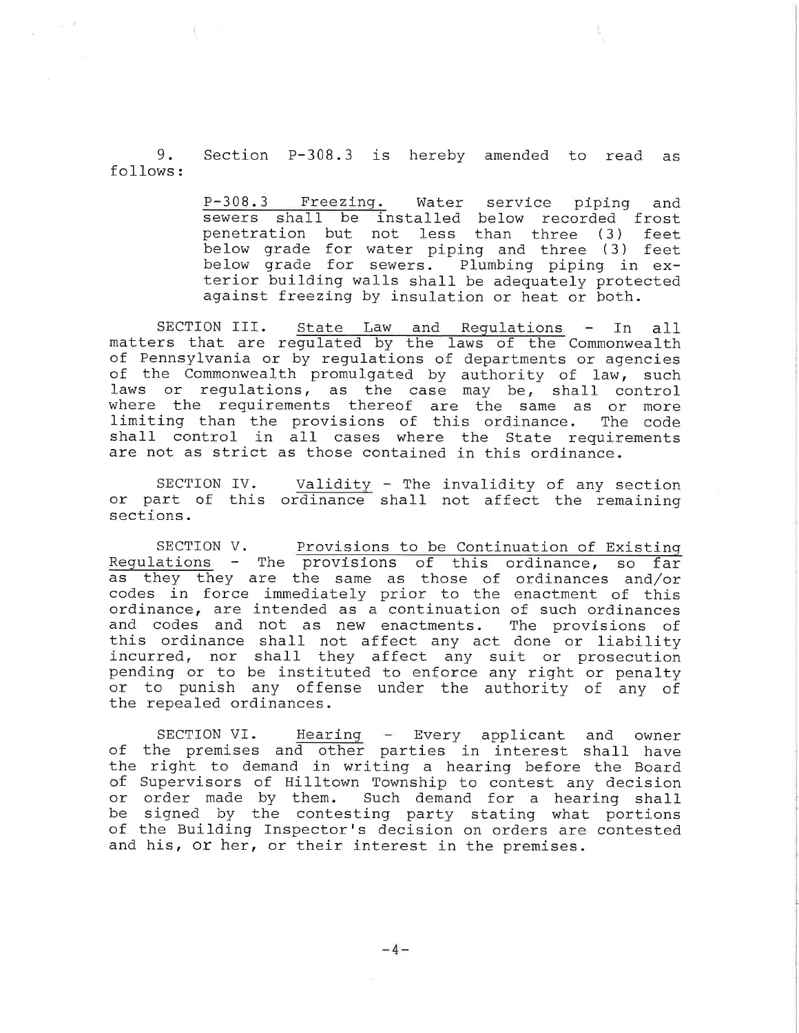9. Section P-308.3 is hereby amended to read as follows:

> P-308.3 Freezing. Water service piping and sewers shall be installed below recorded fro penetration but not less than three (3) feet below grade for water piping and three (3) feet below grade for sewers. Plumbing piping in exterior building walls shall be adequately protected against freezing by insulation or heat or both.

SECTION III. State Law and Regulations - In all matters that are regulated by the laws of the Commonwealth of Pennsylvania or by regulations of departments or agencies of the Commonwealth promulgated by authority of law, such laws or regulations, as the case may be, shall control where the requirements thereof are the same as or moi limiting than the provisions of this ordinance. The cod shall control in all cases where the State requirements are not as strict as those contained in this ordinance.

SECTION IV. or part of this ordinance shall not affect the remai sections. Validity - The invalidity of any sect

SECTION V. Provisions to be Continuation of Existing Requlations - The provisions of this ordinance, so far as they they are the same as those of ordinances and/or codes in force immediately prior to the enactment of this ordinance, are intended as a continuation of such ordinances and codes and not as new enactments. The provisions of this ordinance shall not affect any act done or liability incurred, nor shall they affect any suit or prosecution pending or to be instituted to enforce any right or penalty or to punish any offense under the authority of any of the repealed ordinances.

SECTION VI. Hearing - Every applicant and owner of the premises and other parties in interest shall have the right to demand in writing a hearing before the Board of Supervisors of Hilltown Township to contest any decision or order made by them. Such demand for a hearing shall be signed by the contesting party stating what portions of the Building Inspector's decision on orders are contested and his, or her, or their interest in the premises.